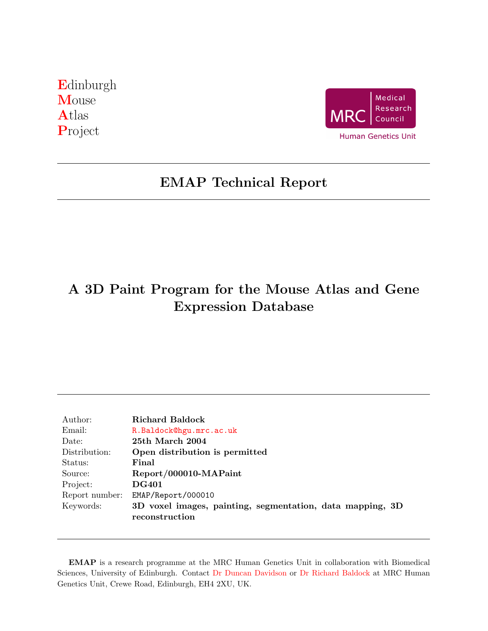<span id="page-0-0"></span>[E](http://genex.hgu.mrc.ac.uk/)dinburgh **[M](http://genex.hgu.mrc.ac.uk/)ouse** [A](http://genex.hgu.mrc.ac.uk/)tlas [P](http://genex.hgu.mrc.ac.uk/)roject



# EMAP Technical Report

# A 3D Paint Program for the Mouse Atlas and Gene Expression Database

| Author:        | Richard Baldock                                                             |  |  |  |  |  |  |  |  |  |  |  |
|----------------|-----------------------------------------------------------------------------|--|--|--|--|--|--|--|--|--|--|--|
| Email:         | R.Baldock@hgu.mrc.ac.uk                                                     |  |  |  |  |  |  |  |  |  |  |  |
| Date:          | 25th March 2004                                                             |  |  |  |  |  |  |  |  |  |  |  |
| Distribution:  | Open distribution is permitted                                              |  |  |  |  |  |  |  |  |  |  |  |
| Status:        | Final                                                                       |  |  |  |  |  |  |  |  |  |  |  |
| Source:        | Report/000010-MAPaint                                                       |  |  |  |  |  |  |  |  |  |  |  |
| Project:       | <b>DG401</b>                                                                |  |  |  |  |  |  |  |  |  |  |  |
| Report number: | EMAP/Report/000010                                                          |  |  |  |  |  |  |  |  |  |  |  |
| Keywords:      | 3D voxel images, painting, segmentation, data mapping, 3D<br>reconstruction |  |  |  |  |  |  |  |  |  |  |  |

EMAP is a research programme at the MRC Human Genetics Unit in collaboration with Biomedical Sciences, University of Edinburgh. Contact [Dr Duncan Davidson](mailto:Duncan.Davidson@hgu.mrc.ac.uk) or [Dr Richard Baldock](mailto:Richard.Baldock@hgu.mrc.ac.uk) at MRC Human Genetics Unit, Crewe Road, Edinburgh, EH4 2XU, UK.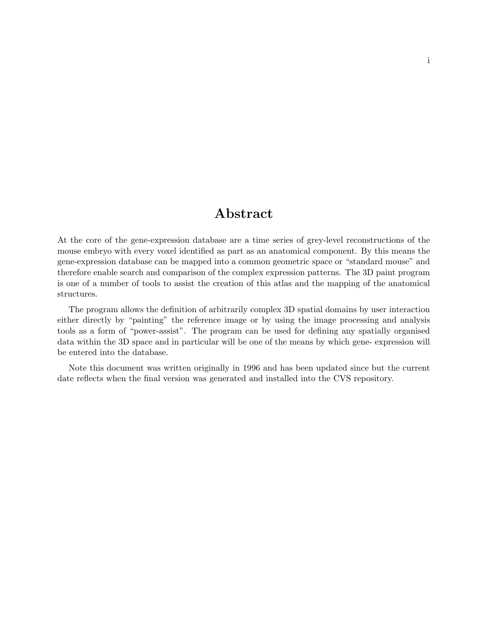## Abstract

At the core of the gene-expression database are a time series of grey-level reconstructions of the mouse embryo with every voxel identified as part as an anatomical component. By this means the gene-expression database can be mapped into a common geometric space or "standard mouse" and therefore enable search and comparison of the complex expression patterns. The 3D paint program is one of a number of tools to assist the creation of this atlas and the mapping of the anatomical structures.

The program allows the definition of arbitrarily complex 3D spatial domains by user interaction either directly by "painting" the reference image or by using the image processing and analysis tools as a form of "power-assist". The program can be used for defining any spatially organised data within the 3D space and in particular will be one of the means by which gene- expression will be entered into the database.

Note this document was written originally in 1996 and has been updated since but the current date reflects when the final version was generated and installed into the CVS repository.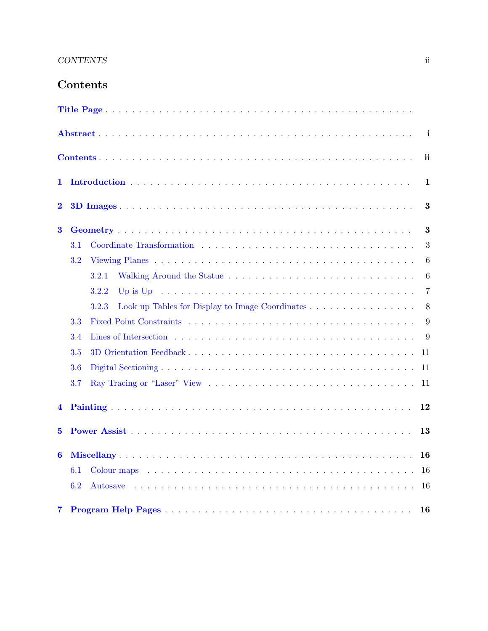## CONTENTS ii

## Contents

<span id="page-2-0"></span>

|          |     |       |  |  |  |                                                                                                       |  |  |  |  |  |  |  |   |    |              |   |  |  |  |  |  |  | $\mathbf{i}$ |
|----------|-----|-------|--|--|--|-------------------------------------------------------------------------------------------------------|--|--|--|--|--|--|--|---|----|--------------|---|--|--|--|--|--|--|--------------|
|          |     |       |  |  |  |                                                                                                       |  |  |  |  |  |  |  |   |    |              |   |  |  |  |  |  |  | ii           |
| 1        |     |       |  |  |  |                                                                                                       |  |  |  |  |  |  |  |   |    | $\mathbf{1}$ |   |  |  |  |  |  |  |              |
| $\bf{2}$ |     |       |  |  |  |                                                                                                       |  |  |  |  |  |  |  |   |    |              | 3 |  |  |  |  |  |  |              |
| $\bf{3}$ |     |       |  |  |  |                                                                                                       |  |  |  |  |  |  |  |   |    |              |   |  |  |  |  |  |  | 3            |
|          | 3.1 |       |  |  |  |                                                                                                       |  |  |  |  |  |  |  |   |    |              |   |  |  |  |  |  |  | 3            |
|          | 3.2 |       |  |  |  |                                                                                                       |  |  |  |  |  |  |  |   |    |              |   |  |  |  |  |  |  | 6            |
|          |     | 3.2.1 |  |  |  |                                                                                                       |  |  |  |  |  |  |  |   |    |              |   |  |  |  |  |  |  | 6            |
|          |     | 3.2.2 |  |  |  | Up is Up $\ldots \ldots \ldots \ldots \ldots \ldots \ldots \ldots \ldots \ldots \ldots \ldots \ldots$ |  |  |  |  |  |  |  |   |    |              |   |  |  |  |  |  |  | 7            |
|          |     | 3.2.3 |  |  |  | Look up Tables for Display to Image Coordinates                                                       |  |  |  |  |  |  |  |   |    |              |   |  |  |  |  |  |  | 8            |
|          | 3.3 |       |  |  |  |                                                                                                       |  |  |  |  |  |  |  |   |    |              |   |  |  |  |  |  |  | 9            |
|          | 3.4 |       |  |  |  |                                                                                                       |  |  |  |  |  |  |  | 9 |    |              |   |  |  |  |  |  |  |              |
|          | 3.5 |       |  |  |  |                                                                                                       |  |  |  |  |  |  |  |   |    | 11           |   |  |  |  |  |  |  |              |
|          | 3.6 |       |  |  |  |                                                                                                       |  |  |  |  |  |  |  |   | 11 |              |   |  |  |  |  |  |  |              |
| 3.7      |     |       |  |  |  |                                                                                                       |  |  |  |  |  |  |  |   |    | 11           |   |  |  |  |  |  |  |              |
| 4        |     |       |  |  |  |                                                                                                       |  |  |  |  |  |  |  |   |    |              |   |  |  |  |  |  |  | 12           |
| 5.       |     |       |  |  |  |                                                                                                       |  |  |  |  |  |  |  |   |    |              |   |  |  |  |  |  |  | 13           |
| 6        |     |       |  |  |  |                                                                                                       |  |  |  |  |  |  |  |   |    |              |   |  |  |  |  |  |  | 16           |
|          | 6.1 |       |  |  |  |                                                                                                       |  |  |  |  |  |  |  |   |    |              |   |  |  |  |  |  |  | 16           |
|          | 6.2 |       |  |  |  |                                                                                                       |  |  |  |  |  |  |  |   |    |              |   |  |  |  |  |  |  | -16          |
| 7        |     |       |  |  |  |                                                                                                       |  |  |  |  |  |  |  |   |    |              |   |  |  |  |  |  |  | 16           |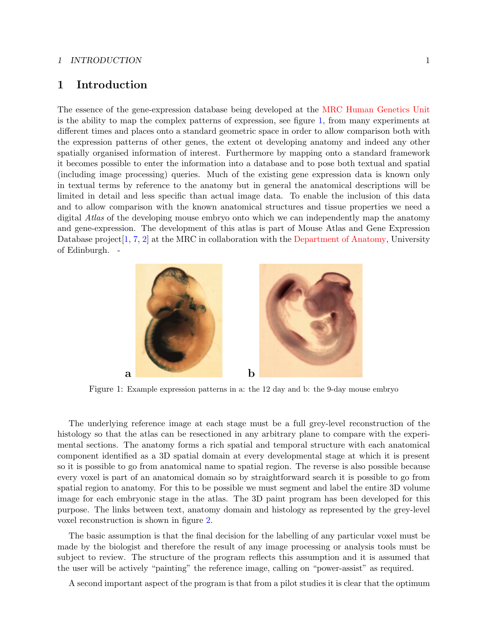#### 1 INTRODUCTION 1

## <span id="page-3-0"></span>1 Introduction

The essence of the gene-expression database being developed at the [MRC Human Genetics Unit](http://www.hgu.mrc.ac.uk) is the ability to map the complex patterns of expression, see figure [1,](#page-3-1) from many experiments at different times and places onto a standard geometric space in order to allow comparison both with the expression patterns of other genes, the extent ot developing anatomy and indeed any other spatially organised information of interest. Furthermore by mapping onto a standard framework it becomes possible to enter the information into a database and to pose both textual and spatial (including image processing) queries. Much of the existing gene expression data is known only in textual terms by reference to the anatomy but in general the anatomical descriptions will be limited in detail and less specific than actual image data. To enable the inclusion of this data and to allow comparison with the known anatomical structures and tissue properties we need a digital Atlas of the developing mouse embryo onto which we can independently map the anatomy and gene-expression. The development of this atlas is part of Mouse Atlas and Gene Expression Database project [\[1,](#page-18-4) [7,](#page-19-0) [2\]](#page-18-5) at the MRC in collaboration with the [Department of Anatomy,](http://www.ana.ed.ac.uk/) University of Edinburgh. -



Figure 1: Example expression patterns in a: the 12 day and b: the 9-day mouse embryo

<span id="page-3-1"></span>The underlying reference image at each stage must be a full grey-level reconstruction of the histology so that the atlas can be resectioned in any arbitrary plane to compare with the experimental sections. The anatomy forms a rich spatial and temporal structure with each anatomical component identified as a 3D spatial domain at every developmental stage at which it is present so it is possible to go from anatomical name to spatial region. The reverse is also possible because every voxel is part of an anatomical domain so by straightforward search it is possible to go from spatial region to anatomy. For this to be possible we must segment and label the entire 3D volume image for each embryonic stage in the atlas. The 3D paint program has been developed for this purpose. The links between text, anatomy domain and histology as represented by the grey-level voxel reconstruction is shown in figure [2.](#page-4-0)

The basic assumption is that the final decision for the labelling of any particular voxel must be made by the biologist and therefore the result of any image processing or analysis tools must be subject to review. The structure of the program reflects this assumption and it is assumed that the user will be actively "painting" the reference image, calling on "power-assist" as required.

A second important aspect of the program is that from a pilot studies it is clear that the optimum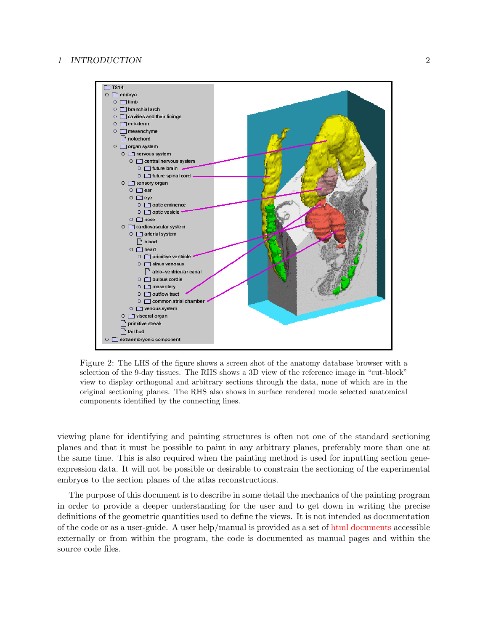

<span id="page-4-0"></span>Figure 2: The LHS of the figure shows a screen shot of the anatomy database browser with a selection of the 9-day tissues. The RHS shows a 3D view of the reference image in "cut-block" view to display orthogonal and arbitrary sections through the data, none of which are in the original sectioning planes. The RHS also shows in surface rendered mode selected anatomical components identified by the connecting lines.

viewing plane for identifying and painting structures is often not one of the standard sectioning planes and that it must be possible to paint in any arbitrary planes, preferably more than one at the same time. This is also required when the painting method is used for inputting section geneexpression data. It will not be possible or desirable to constrain the sectioning of the experimental embryos to the section planes of the atlas reconstructions.

The purpose of this document is to describe in some detail the mechanics of the painting program in order to provide a deeper understanding for the user and to get down in writing the precise definitions of the geometric quantities used to define the views. It is not intended as documentation of the code or as a user-guide. A user help/manual is provided as a set of [html documents](http://genex.hgu.mrc.ac.uk/Software/paint/paint_help/MAPaint_1.00/) accessible externally or from within the program, the code is documented as manual pages and within the source code files.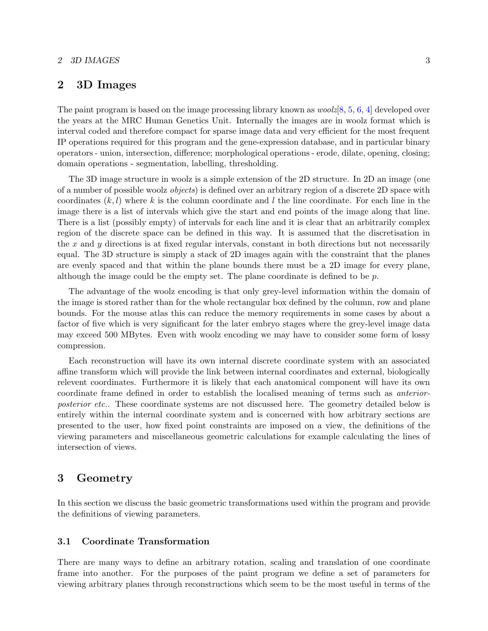#### 2 3D IMAGES 3

## <span id="page-5-0"></span>2 3D Images

The paint program is based on the image processing library known as  $\text{woolz}[8, 5, 6, 4]$  $\text{woolz}[8, 5, 6, 4]$  $\text{woolz}[8, 5, 6, 4]$  $\text{woolz}[8, 5, 6, 4]$  $\text{woolz}[8, 5, 6, 4]$  $\text{woolz}[8, 5, 6, 4]$  $\text{woolz}[8, 5, 6, 4]$  $\text{woolz}[8, 5, 6, 4]$  developed over the years at the MRC Human Genetics Unit. Internally the images are in woolz format which is interval coded and therefore compact for sparse image data and very efficient for the most frequent IP operations required for this program and the gene-expression database, and in particular binary operators - union, intersection, difference; morphological operations - erode, dilate, opening, closing; domain operations - segmentation, labelling, thresholding.

The 3D image structure in woolz is a simple extension of the 2D structure. In 2D an image (one of a number of possible woolz objects) is defined over an arbitrary region of a discrete 2D space with coordinates  $(k, l)$  where k is the column coordinate and l the line coordinate. For each line in the image there is a list of intervals which give the start and end points of the image along that line. There is a list (possibly empty) of intervals for each line and it is clear that an arbitrarily complex region of the discrete space can be defined in this way. It is assumed that the discretisation in the x and y directions is at fixed regular intervals, constant in both directions but not necessarily equal. The 3D structure is simply a stack of 2D images again with the constraint that the planes are evenly spaced and that within the plane bounds there must be a 2D image for every plane, although the image could be the empty set. The plane coordinate is defined to be  $p$ .

The advantage of the woolz encoding is that only grey-level information within the domain of the image is stored rather than for the whole rectangular box defined by the column, row and plane bounds. For the mouse atlas this can reduce the memory requirements in some cases by about a factor of five which is very significant for the later embryo stages where the grey-level image data may exceed 500 MBytes. Even with woolz encoding we may have to consider some form of lossy compression.

Each reconstruction will have its own internal discrete coordinate system with an associated affine transform which will provide the link between internal coordinates and external, biologically relevent coordinates. Furthermore it is likely that each anatomical component will have its own coordinate frame defined in order to establish the localised meaning of terms such as anteriorposterior etc.. These coordinate systems are not discussed here. The geometry detailed below is entirely within the internal coordinate system and is concerned with how arbitrary sections are presented to the user, how fixed point constraints are imposed on a view, the definitions of the viewing parameters and miscellaneous geometric calculations for example calculating the lines of intersection of views.

## <span id="page-5-1"></span>3 Geometry

In this section we discuss the basic geometric transformations used within the program and provide the definitions of viewing parameters.

#### <span id="page-5-2"></span>3.1 Coordinate Transformation

There are many ways to define an arbitrary rotation, scaling and translation of one coordinate frame into another. For the purposes of the paint program we define a set of parameters for viewing arbitrary planes through reconstructions which seem to be the most useful in terms of the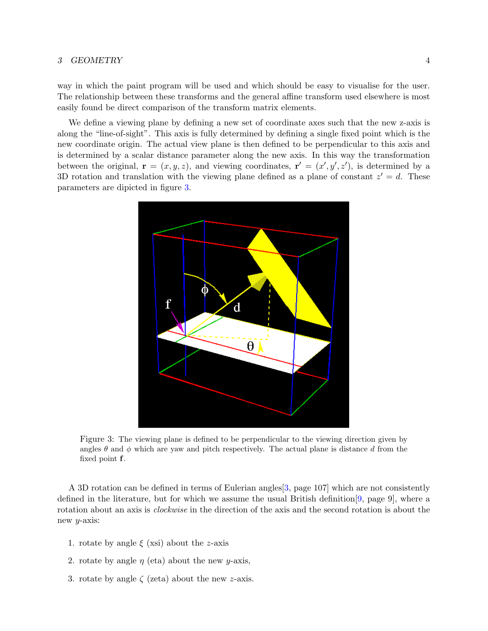way in which the paint program will be used and which should be easy to visualise for the user. The relationship between these transforms and the general affine transform used elsewhere is most easily found be direct comparison of the transform matrix elements.

We define a viewing plane by defining a new set of coordinate axes such that the new z-axis is along the "line-of-sight". This axis is fully determined by defining a single fixed point which is the new coordinate origin. The actual view plane is then defined to be perpendicular to this axis and is determined by a scalar distance parameter along the new axis. In this way the transformation between the original,  $\mathbf{r} = (x, y, z)$ , and viewing coordinates,  $\mathbf{r}' = (x', y', z')$ , is determined by a 3D rotation and translation with the viewing plane defined as a plane of constant  $z' = d$ . These parameters are dipicted in figure [3.](#page-6-0)



<span id="page-6-0"></span>Figure 3: The viewing plane is defined to be perpendicular to the viewing direction given by angles  $\theta$  and  $\phi$  which are yaw and pitch respectively. The actual plane is distance d from the fixed point f.

A 3D rotation can be defined in terms of Eulerian angles[\[3,](#page-18-8) page 107] which are not consistently defined in the literature, but for which we assume the usual British definition[\[9,](#page-19-3) page 9], where a rotation about an axis is *clockwise* in the direction of the axis and the second rotation is about the new y-axis:

- 1. rotate by angle  $\xi$  (xsi) about the z-axis
- 2. rotate by angle  $\eta$  (eta) about the new *y*-axis,
- 3. rotate by angle  $\zeta$  (zeta) about the new z-axis.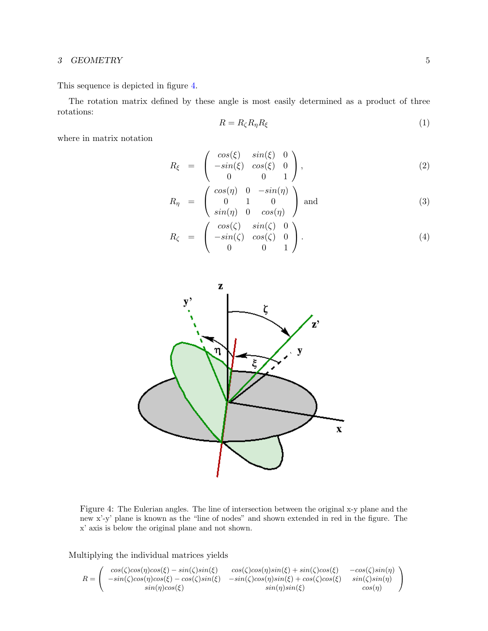This sequence is depicted in figure [4.](#page-7-0)

The rotation matrix defined by these angle is most easily determined as a product of three rotations:

$$
R = R_{\zeta} R_{\eta} R_{\xi} \tag{1}
$$

where in matrix notation

$$
R_{\xi} = \begin{pmatrix} \cos(\xi) & \sin(\xi) & 0 \\ -\sin(\xi) & \cos(\xi) & 0 \\ 0 & 0 & 1 \end{pmatrix}, \tag{2}
$$

$$
R_{\eta} = \begin{pmatrix} \cos(\eta) & 0 & -\sin(\eta) \\ 0 & 1 & 0 \\ \sin(\eta) & 0 & \cos(\eta) \end{pmatrix}
$$
 and (3)

$$
R_{\zeta} = \begin{pmatrix} \cos(\zeta) & \sin(\zeta) & 0 \\ -\sin(\zeta) & \cos(\zeta) & 0 \\ 0 & 0 & 1 \end{pmatrix}.
$$
 (4)



<span id="page-7-0"></span>Figure 4: The Eulerian angles. The line of intersection between the original x-y plane and the new x'-y' plane is known as the "line of nodes" and shown extended in red in the figure. The x' axis is below the original plane and not shown.

Multiplying the individual matrices yields

$$
R = \begin{pmatrix} \cos(\zeta)\cos(\eta)\cos(\xi) - \sin(\zeta)\sin(\xi) & \cos(\zeta)\cos(\eta)\sin(\xi) + \sin(\zeta)\cos(\xi) & -\cos(\zeta)\sin(\eta) \\ -\sin(\zeta)\cos(\eta)\cos(\xi) - \cos(\zeta)\sin(\xi) & -\sin(\zeta)\cos(\eta)\sin(\xi) + \cos(\zeta)\cos(\xi) & \sin(\zeta)\sin(\eta) \\ \sin(\eta)\cos(\xi) & \sin(\eta)\sin(\xi) & \cos(\eta) \end{pmatrix}
$$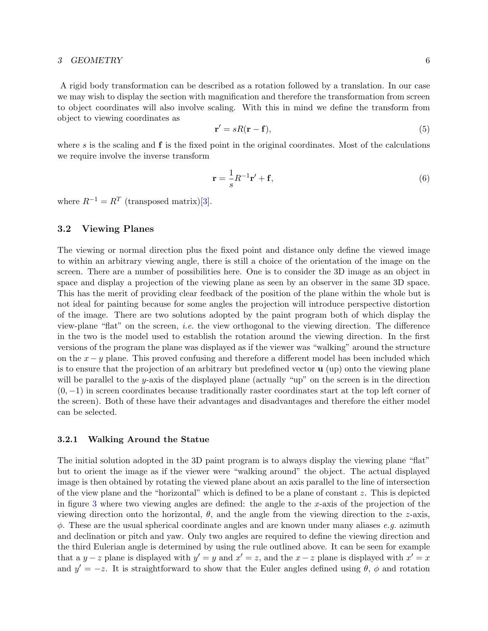A rigid body transformation can be described as a rotation followed by a translation. In our case we may wish to display the section with magnification and therefore the transformation from screen to object coordinates will also involve scaling. With this in mind we define the transform from object to viewing coordinates as

<span id="page-8-3"></span>
$$
\mathbf{r}' = sR(\mathbf{r} - \mathbf{f}),\tag{5}
$$

where s is the scaling and  $f$  is the fixed point in the original coordinates. Most of the calculations we require involve the inverse transform

<span id="page-8-2"></span>
$$
\mathbf{r} = \frac{1}{s}R^{-1}\mathbf{r}' + \mathbf{f},\tag{6}
$$

where  $R^{-1} = R^{T}$  (transposed matrix)[\[3\]](#page-18-8).

#### <span id="page-8-0"></span>3.2 Viewing Planes

The viewing or normal direction plus the fixed point and distance only define the viewed image to within an arbitrary viewing angle, there is still a choice of the orientation of the image on the screen. There are a number of possibilities here. One is to consider the 3D image as an object in space and display a projection of the viewing plane as seen by an observer in the same 3D space. This has the merit of providing clear feedback of the position of the plane within the whole but is not ideal for painting because for some angles the projection will introduce perspective distortion of the image. There are two solutions adopted by the paint program both of which display the view-plane "flat" on the screen, i.e. the view orthogonal to the viewing direction. The difference in the two is the model used to establish the rotation around the viewing direction. In the first versions of the program the plane was displayed as if the viewer was "walking" around the structure on the  $x - y$  plane. This proved confusing and therefore a different model has been included which is to ensure that the projection of an arbitrary but predefined vector  $\bf{u}$  (up) onto the viewing plane will be parallel to the y-axis of the displayed plane (actually "up" on the screen is in the direction  $(0, -1)$  in screen coordinates because traditionally raster coordinates start at the top left corner of the screen). Both of these have their advantages and disadvantages and therefore the either model can be selected.

#### <span id="page-8-1"></span>3.2.1 Walking Around the Statue

The initial solution adopted in the 3D paint program is to always display the viewing plane "flat" but to orient the image as if the viewer were "walking around" the object. The actual displayed image is then obtained by rotating the viewed plane about an axis parallel to the line of intersection of the view plane and the "horizontal" which is defined to be a plane of constant z. This is depicted in figure [3](#page-6-0) where two viewing angles are defined: the angle to the x-axis of the projection of the viewing direction onto the horizontal,  $\theta$ , and the angle from the viewing direction to the z-axis,  $\phi$ . These are the usual spherical coordinate angles and are known under many aliases e.g. azimuth and declination or pitch and yaw. Only two angles are required to define the viewing direction and the third Eulerian angle is determined by using the rule outlined above. It can be seen for example that a y – z plane is displayed with  $y' = y$  and  $x' = z$ , and the x – z plane is displayed with  $x' = x$ and  $y' = -z$ . It is straightforward to show that the Euler angles defined using  $\theta$ ,  $\phi$  and rotation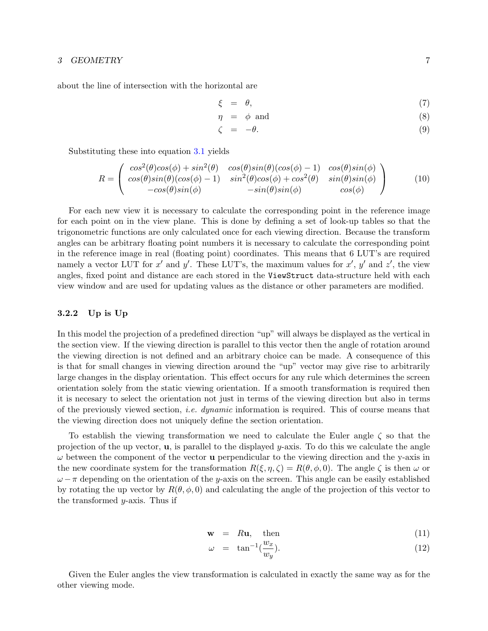about the line of intersection with the horizontal are

$$
\xi = \theta, \tag{7}
$$

$$
\eta = \phi \text{ and } (8)
$$

$$
\zeta = -\theta. \tag{9}
$$

Substituting these into equation [3.1](#page-7-0) yields

$$
R = \begin{pmatrix} \cos^2(\theta)\cos(\phi) + \sin^2(\theta) & \cos(\theta)\sin(\theta)(\cos(\phi) - 1) & \cos(\theta)\sin(\phi) \\ \cos(\theta)\sin(\theta)(\cos(\phi) - 1) & \sin^2(\theta)\cos(\phi) + \cos^2(\theta) & \sin(\theta)\sin(\phi) \\ -\cos(\theta)\sin(\phi) & -\sin(\theta)\sin(\phi) & \cos(\phi) \end{pmatrix}
$$
(10)

For each new view it is necessary to calculate the corresponding point in the reference image for each point on in the view plane. This is done by defining a set of look-up tables so that the trigonometric functions are only calculated once for each viewing direction. Because the transform angles can be arbitrary floating point numbers it is necessary to calculate the corresponding point in the reference image in real (floating point) coordinates. This means that 6 LUT's are required namely a vector LUT for x' and y'. These LUT's, the maximum values for  $x'$ ,  $y'$  and  $z'$ , the view angles, fixed point and distance are each stored in the ViewStruct data-structure held with each view window and are used for updating values as the distance or other parameters are modified.

#### <span id="page-9-0"></span>3.2.2 Up is Up

In this model the projection of a predefined direction "up" will always be displayed as the vertical in the section view. If the viewing direction is parallel to this vector then the angle of rotation around the viewing direction is not defined and an arbitrary choice can be made. A consequence of this is that for small changes in viewing direction around the "up" vector may give rise to arbitrarily large changes in the display orientation. This effect occurs for any rule which determines the screen orientation solely from the static viewing orientation. If a smooth transformation is required then it is necesary to select the orientation not just in terms of the viewing direction but also in terms of the previously viewed section, *i.e.* dynamic information is required. This of course means that the viewing direction does not uniquely define the section orientation.

To establish the viewing transformation we need to calculate the Euler angle  $\zeta$  so that the projection of the up vector,  $\bf{u}$ , is parallel to the displayed y-axis. To do this we calculate the angle  $\omega$  between the component of the vector **u** perpendicular to the viewing direction and the y-axis in the new coordinate system for the transformation  $R(\xi, \eta, \zeta) = R(\theta, \phi, 0)$ . The angle  $\zeta$  is then  $\omega$  or  $\omega - \pi$  depending on the orientation of the y-axis on the screen. This angle can be easily established by rotating the up vector by  $R(\theta, \phi, 0)$  and calculating the angle of the projection of this vector to the transformed  $y$ -axis. Thus if

$$
\mathbf{w} = R\mathbf{u}, \quad \text{then} \tag{11}
$$

$$
\omega = \tan^{-1}(\frac{w_x}{w_y}).\tag{12}
$$

Given the Euler angles the view transformation is calculated in exactly the same way as for the other viewing mode.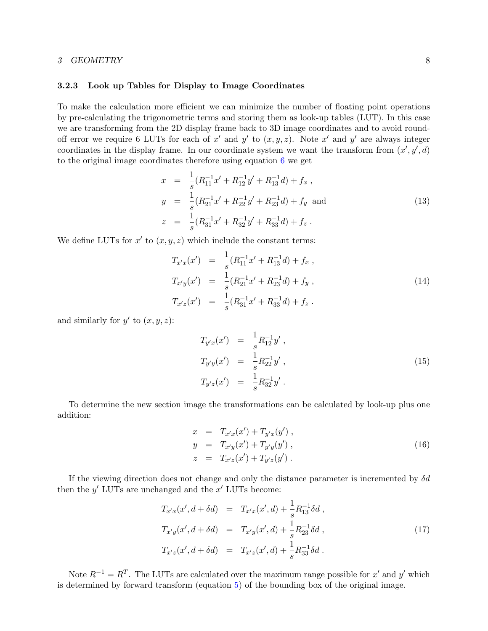#### <span id="page-10-0"></span>3.2.3 Look up Tables for Display to Image Coordinates

To make the calculation more efficient we can minimize the number of floating point operations by pre-calculating the trigonometric terms and storing them as look-up tables (LUT). In this case we are transforming from the 2D display frame back to 3D image coordinates and to avoid roundoff error we require 6 LUTs for each of x' and y' to  $(x, y, z)$ . Note x' and y' are always integer coordinates in the display frame. In our coordinate system we want the transform from  $(x', y', d)$ to the original image coordinates therefore using equation [6](#page-8-2) we get

$$
x = \frac{1}{s}(R_{11}^{-1}x' + R_{12}^{-1}y' + R_{13}^{-1}d) + f_x,
$$
  
\n
$$
y = \frac{1}{s}(R_{21}^{-1}x' + R_{22}^{-1}y' + R_{23}^{-1}d) + f_y
$$
 and  
\n
$$
z = \frac{1}{s}(R_{31}^{-1}x' + R_{32}^{-1}y' + R_{33}^{-1}d) + f_z.
$$
\n(13)

We define LUTs for  $x'$  to  $(x, y, z)$  which include the constant terms:

$$
T_{x'x}(x') = \frac{1}{s}(R_{11}^{-1}x' + R_{13}^{-1}d) + f_x,
$$
  
\n
$$
T_{x'y}(x') = \frac{1}{s}(R_{21}^{-1}x' + R_{23}^{-1}d) + f_y,
$$
  
\n
$$
T_{x'z}(x') = \frac{1}{s}(R_{31}^{-1}x' + R_{33}^{-1}d) + f_z.
$$
\n(14)

and similarly for  $y'$  to  $(x, y, z)$ :

$$
T_{y'x}(x') = \frac{1}{s} R_{12}^{-1} y',
$$
  
\n
$$
T_{y'y}(x') = \frac{1}{s} R_{22}^{-1} y',
$$
  
\n
$$
T_{y'z}(x') = \frac{1}{s} R_{32}^{-1} y'.
$$
\n(15)

To determine the new section image the transformations can be calculated by look-up plus one addition:

$$
x = T_{x'x}(x') + T_{y'x}(y'),\n y = T_{x'y}(x') + T_{y'y}(y'),\n z = T_{x'z}(x') + T_{y'z}(y').
$$
\n(16)

If the viewing direction does not change and only the distance parameter is incremented by  $\delta d$ then the  $y'$  LUTs are unchanged and the  $x'$  LUTs become:

$$
T_{x'x}(x', d + \delta d) = T_{x'x}(x', d) + \frac{1}{s} R_{13}^{-1} \delta d,
$$
  
\n
$$
T_{x'y}(x', d + \delta d) = T_{x'y}(x', d) + \frac{1}{s} R_{23}^{-1} \delta d,
$$
  
\n
$$
T_{x'z}(x', d + \delta d) = T_{x'z}(x', d) + \frac{1}{s} R_{33}^{-1} \delta d.
$$
\n(17)

Note  $R^{-1} = R^{T}$ . The LUTs are calculated over the maximum range possible for x' and y' which is determined by forward transform (equation [5\)](#page-8-3) of the bounding box of the original image.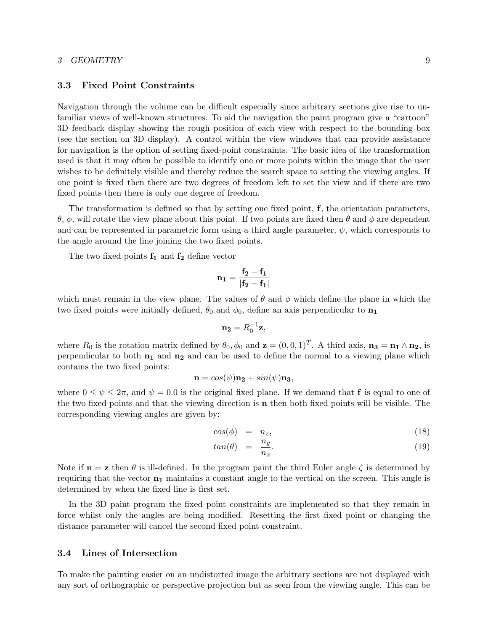#### <span id="page-11-0"></span>3.3 Fixed Point Constraints

Navigation through the volume can be difficult especially since arbitrary sections give rise to unfamiliar views of well-known structures. To aid the navigation the paint program give a "cartoon" 3D feedback display showing the rough position of each view with respect to the bounding box (see the section on 3D display). A control within the view windows that can provide assistance for navigation is the option of setting fixed-point constraints. The basic idea of the transformation used is that it may often be possible to identify one or more points within the image that the user wishes to be definitely visible and thereby reduce the search space to setting the viewing angles. If one point is fixed then there are two degrees of freedom left to set the view and if there are two fixed points then there is only one degree of freedom.

The transformation is defined so that by setting one fixed point, f, the orientation parameters, θ, φ, will rotate the view plane about this point. If two points are fixed then θ and φ are dependent and can be represented in parametric form using a third angle parameter,  $\psi$ , which corresponds to the angle around the line joining the two fixed points.

The two fixed points  $f_1$  and  $f_2$  define vector

$$
n_1 = \frac{f_2 - f_1}{|f_2 - f_1|}
$$

which must remain in the view plane. The values of  $\theta$  and  $\phi$  which define the plane in which the two fixed points were initially defined,  $\theta_0$  and  $\phi_0$ , define an axis perpendicular to  $n_1$ 

$$
\mathbf{n_2} = R_0^{-1}\mathbf{z},
$$

where  $R_0$  is the rotation matrix defined by  $\theta_0$ ,  $\phi_0$  and  $\mathbf{z} = (0, 0, 1)^T$ . A third axis,  $\mathbf{n_3} = \mathbf{n_1} \wedge \mathbf{n_2}$ , is perpendicular to both  $n_1$  and  $n_2$  and can be used to define the normal to a viewing plane which contains the two fixed points:

$$
\mathbf{n} = cos(\psi)\mathbf{n_2} + sin(\psi)\mathbf{n_3},
$$

where  $0 \le \psi \le 2\pi$ , and  $\psi = 0.0$  is the original fixed plane. If we demand that **f** is equal to one of the two fixed points and that the viewing direction is n then both fixed points will be visible. The corresponding viewing angles are given by:

$$
cos(\phi) = n_z, \tag{18}
$$

$$
tan(\theta) = \frac{n_y}{n_x}.\tag{19}
$$

Note if  $\mathbf{n} = \mathbf{z}$  then  $\theta$  is ill-defined. In the program paint the third Euler angle  $\zeta$  is determined by requiring that the vector  $n_1$  maintains a constant angle to the vertical on the screen. This angle is determined by when the fixed line is first set.

In the 3D paint program the fixed point constraints are implemented so that they remain in force whilst only the angles are being modified. Resetting the first fixed point or changing the distance parameter will cancel the second fixed point constraint.

#### <span id="page-11-1"></span>3.4 Lines of Intersection

To make the painting easier on an undistorted image the arbitrary sections are not displayed with any sort of orthographic or perspective projection but as seen from the viewing angle. This can be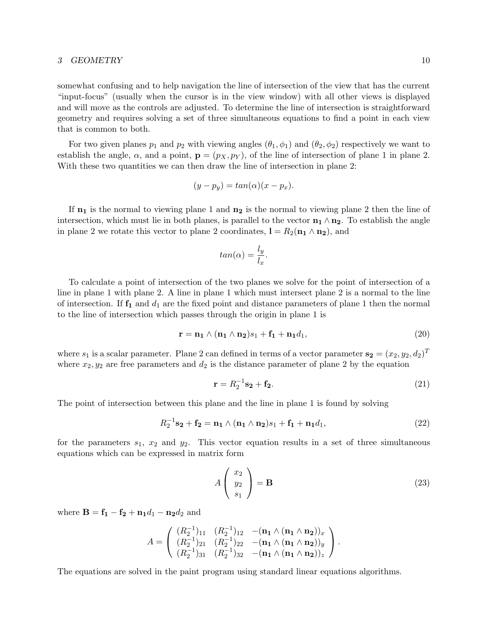somewhat confusing and to help navigation the line of intersection of the view that has the current "input-focus" (usually when the cursor is in the view window) with all other views is displayed and will move as the controls are adjusted. To determine the line of intersection is straightforward geometry and requires solving a set of three simultaneous equations to find a point in each view that is common to both.

For two given planes  $p_1$  and  $p_2$  with viewing angles  $(\theta_1, \phi_1)$  and  $(\theta_2, \phi_2)$  respectively we want to establish the angle,  $\alpha$ , and a point,  $\mathbf{p} = (p_X, p_Y)$ , of the line of intersection of plane 1 in plane 2. With these two quantities we can then draw the line of intersection in plane 2:

$$
(y - p_y) = \tan(\alpha)(x - p_x).
$$

If  $n_1$  is the normal to viewing plane 1 and  $n_2$  is the normal to viewing plane 2 then the line of intersection, which must lie in both planes, is parallel to the vector  $\mathbf{n}_1 \wedge \mathbf{n}_2$ . To establish the angle in plane 2 we rotate this vector to plane 2 coordinates,  $\mathbf{l} = R_2(\mathbf{n}_1 \wedge \mathbf{n}_2)$ , and

$$
tan(\alpha) = \frac{l_y}{l_x}.
$$

To calculate a point of intersection of the two planes we solve for the point of intersection of a line in plane 1 with plane 2. A line in plane 1 which must intersect plane 2 is a normal to the line of intersection. If  $f_1$  and  $d_1$  are the fixed point and distance parameters of plane 1 then the normal to the line of intersection which passes through the origin in plane 1 is

$$
\mathbf{r} = \mathbf{n_1} \wedge (\mathbf{n_1} \wedge \mathbf{n_2})s_1 + \mathbf{f_1} + \mathbf{n_1}d_1,\tag{20}
$$

where  $s_1$  is a scalar parameter. Plane 2 can defined in terms of a vector parameter  $\mathbf{s_2} = (x_2, y_2, d_2)^T$ where  $x_2, y_2$  are free parameters and  $d_2$  is the distance parameter of plane 2 by the equation

$$
\mathbf{r} = R_2^{-1} \mathbf{s_2} + \mathbf{f_2}.\tag{21}
$$

The point of intersection between this plane and the line in plane 1 is found by solving

$$
R_2^{-1} \mathbf{s_2} + \mathbf{f_2} = \mathbf{n_1} \wedge (\mathbf{n_1} \wedge \mathbf{n_2})s_1 + \mathbf{f_1} + \mathbf{n_1}d_1, \tag{22}
$$

for the parameters  $s_1$ ,  $x_2$  and  $y_2$ . This vector equation results in a set of three simultaneous equations which can be expressed in matrix form

$$
A\left(\begin{array}{c}x_2\\y_2\\s_1\end{array}\right) = \mathbf{B} \tag{23}
$$

where  $B = f_1 - f_2 + n_1d_1 - n_2d_2$  and

$$
A = \left( \begin{array}{cccc} (R_2^{-1})_{11} & (R_2^{-1})_{12} & -({\bf n_1} \wedge ({\bf n_1} \wedge {\bf n_2}))_x \\ (R_2^{-1})_{21} & (R_2^{-1})_{22} & -({\bf n_1} \wedge ({\bf n_1} \wedge {\bf n_2}))_y \\ (R_2^{-1})_{31} & (R_2^{-1})_{32} & -({\bf n_1} \wedge ({\bf n_1} \wedge {\bf n_2}))_z \end{array} \right).
$$

The equations are solved in the paint program using standard linear equations algorithms.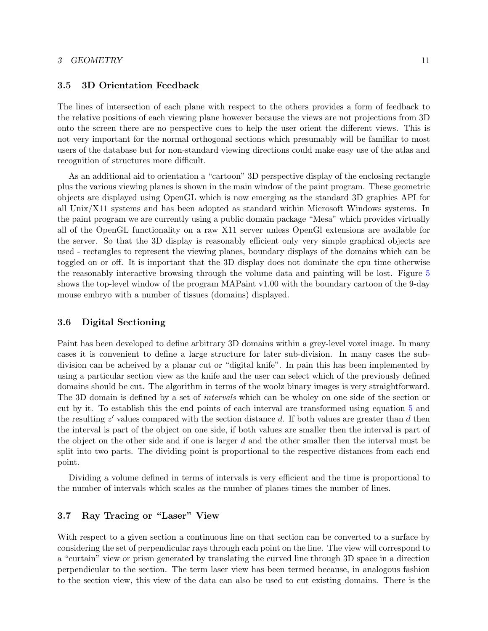#### <span id="page-13-0"></span>3.5 3D Orientation Feedback

The lines of intersection of each plane with respect to the others provides a form of feedback to the relative positions of each viewing plane however because the views are not projections from 3D onto the screen there are no perspective cues to help the user orient the different views. This is not very important for the normal orthogonal sections which presumably will be familiar to most users of the database but for non-standard viewing directions could make easy use of the atlas and recognition of structures more difficult.

As an additional aid to orientation a "cartoon" 3D perspective display of the enclosing rectangle plus the various viewing planes is shown in the main window of the paint program. These geometric objects are displayed using OpenGL which is now emerging as the standard 3D graphics API for all Unix/X11 systems and has been adopted as standard within Microsoft Windows systems. In the paint program we are currently using a public domain package "Mesa" which provides virtually all of the OpenGL functionality on a raw X11 server unless OpenGl extensions are available for the server. So that the 3D display is reasonably efficient only very simple graphical objects are used - rectangles to represent the viewing planes, boundary displays of the domains which can be toggled on or off. It is important that the 3D display does not dominate the cpu time otherwise the reasonably interactive browsing through the volume data and painting will be lost. Figure [5](#page-14-1) shows the top-level window of the program MAPaint v1.00 with the boundary cartoon of the 9-day mouse embryo with a number of tissues (domains) displayed.

#### <span id="page-13-1"></span>3.6 Digital Sectioning

Paint has been developed to define arbitrary 3D domains within a grey-level voxel image. In many cases it is convenient to define a large structure for later sub-division. In many cases the subdivision can be acheived by a planar cut or "digital knife". In pain this has been implemented by using a particular section view as the knife and the user can select which of the previously defined domains should be cut. The algorithm in terms of the woolz binary images is very straightforward. The 3D domain is defined by a set of *intervals* which can be wholey on one side of the section or cut by it. To establish this the end points of each interval are transformed using equation [5](#page-8-3) and the resulting  $z'$  values compared with the section distance  $d$ . If both values are greater than  $d$  then the interval is part of the object on one side, if both values are smaller then the interval is part of the object on the other side and if one is larger  $d$  and the other smaller then the interval must be split into two parts. The dividing point is proportional to the respective distances from each end point.

Dividing a volume defined in terms of intervals is very efficient and the time is proportional to the number of intervals which scales as the number of planes times the number of lines.

#### <span id="page-13-2"></span>3.7 Ray Tracing or "Laser" View

With respect to a given section a continuous line on that section can be converted to a surface by considering the set of perpendicular rays through each point on the line. The view will correspond to a "curtain" view or prism generated by translating the curved line through 3D space in a direction perpendicular to the section. The term laser view has been termed because, in analogous fashion to the section view, this view of the data can also be used to cut existing domains. There is the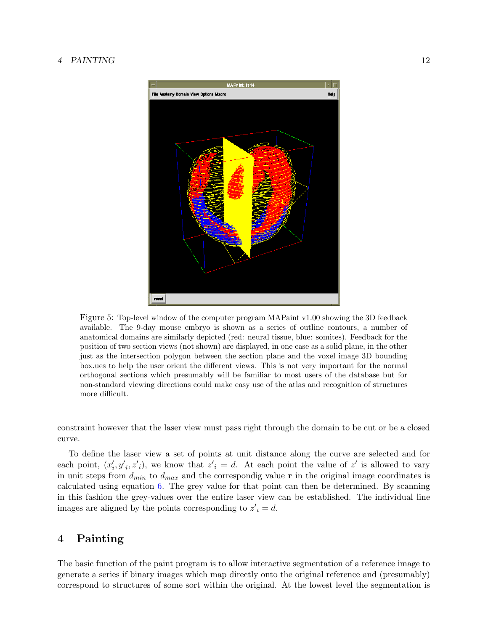#### 4 PAINTING 12



<span id="page-14-1"></span>Figure 5: Top-level window of the computer program MAPaint v1.00 showing the 3D feedback available. The 9-day mouse embryo is shown as a series of outline contours, a number of anatomical domains are similarly depicted (red: neural tissue, blue: somites). Feedback for the position of two section views (not shown) are displayed, in one case as a solid plane, in the other just as the intersection polygon between the section plane and the voxel image 3D bounding box.ues to help the user orient the different views. This is not very important for the normal orthogonal sections which presumably will be familiar to most users of the database but for non-standard viewing directions could make easy use of the atlas and recognition of structures more difficult.

constraint however that the laser view must pass right through the domain to be cut or be a closed curve.

To define the laser view a set of points at unit distance along the curve are selected and for each point,  $(x'_i, y'_i, z'_i)$ , we know that  $z'_i = d$ . At each point the value of  $z'$  is allowed to vary in unit steps from  $d_{min}$  to  $d_{max}$  and the correspondig value r in the original image coordinates is calculated using equation [6.](#page-8-2) The grey value for that point can then be determined. By scanning in this fashion the grey-values over the entire laser view can be established. The individual line images are aligned by the points corresponding to  $z_i' = d$ .

## <span id="page-14-0"></span>4 Painting

The basic function of the paint program is to allow interactive segmentation of a reference image to generate a series if binary images which map directly onto the original reference and (presumably) correspond to structures of some sort within the original. At the lowest level the segmentation is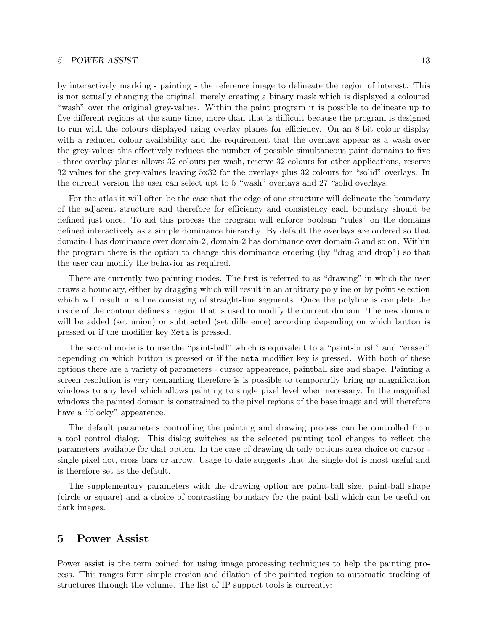#### 5 POWER ASSIST 13

by interactively marking - painting - the reference image to delineate the region of interest. This is not actually changing the original, merely creating a binary mask which is displayed a coloured "wash" over the original grey-values. Within the paint program it is possible to delineate up to five different regions at the same time, more than that is difficult because the program is designed to run with the colours displayed using overlay planes for efficiency. On an 8-bit colour display with a reduced colour availability and the requirement that the overlays appear as a wash over the grey-values this effectively reduces the number of possible simultaneous paint domains to five - three overlay planes allows 32 colours per wash, reserve 32 colours for other applications, reserve 32 values for the grey-values leaving 5x32 for the overlays plus 32 colours for "solid" overlays. In the current version the user can select upt to 5 "wash" overlays and 27 "solid overlays.

For the atlas it will often be the case that the edge of one structure will delineate the boundary of the adjacent structure and therefore for efficiency and consistency each boundary should be defined just once. To aid this process the program will enforce boolean "rules" on the domains defined interactively as a simple dominance hierarchy. By default the overlays are ordered so that domain-1 has dominance over domain-2, domain-2 has dominance over domain-3 and so on. Within the program there is the option to change this dominance ordering (by "drag and drop") so that the user can modify the behavior as required.

There are currently two painting modes. The first is referred to as "drawing" in which the user draws a boundary, either by dragging which will result in an arbitrary polyline or by point selection which will result in a line consisting of straight-line segments. Once the polyline is complete the inside of the contour defines a region that is used to modify the current domain. The new domain will be added (set union) or subtracted (set difference) according depending on which button is pressed or if the modifier key Meta is pressed.

The second mode is to use the "paint-ball" which is equivalent to a "paint-brush" and "eraser" depending on which button is pressed or if the meta modifier key is pressed. With both of these options there are a variety of parameters - cursor appearence, paintball size and shape. Painting a screen resolution is very demanding therefore is is possible to temporarily bring up magnification windows to any level which allows painting to single pixel level when necessary. In the magnified windows the painted domain is constrained to the pixel regions of the base image and will therefore have a "blocky" appearence.

The default parameters controlling the painting and drawing process can be controlled from a tool control dialog. This dialog switches as the selected painting tool changes to reflect the parameters available for that option. In the case of drawing th only options area choice oc cursor single pixel dot, cross bars or arrow. Usage to date suggests that the single dot is most useful and is therefore set as the default.

The supplementary parameters with the drawing option are paint-ball size, paint-ball shape (circle or square) and a choice of contrasting boundary for the paint-ball which can be useful on dark images.

### <span id="page-15-0"></span>5 Power Assist

Power assist is the term coined for using image processing techniques to help the painting process. This ranges form simple erosion and dilation of the painted region to automatic tracking of structures through the volume. The list of IP support tools is currently: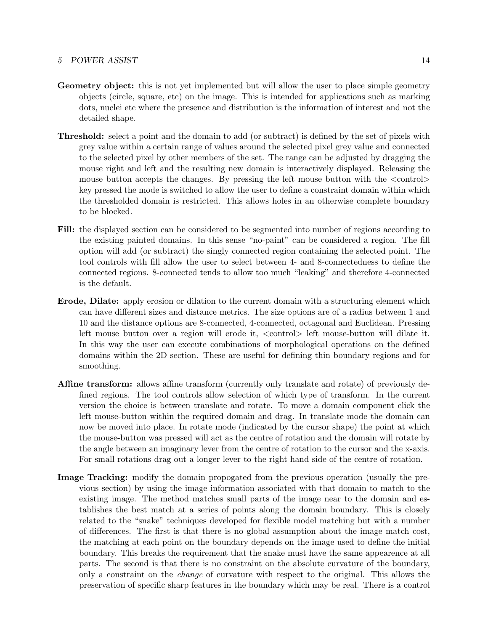#### 5 POWER ASSIST 14

- Geometry object: this is not yet implemented but will allow the user to place simple geometry objects (circle, square, etc) on the image. This is intended for applications such as marking dots, nuclei etc where the presence and distribution is the information of interest and not the detailed shape.
- Threshold: select a point and the domain to add (or subtract) is defined by the set of pixels with grey value within a certain range of values around the selected pixel grey value and connected to the selected pixel by other members of the set. The range can be adjusted by dragging the mouse right and left and the resulting new domain is interactively displayed. Releasing the mouse button accepts the changes. By pressing the left mouse button with the  $\langle \text{control}\rangle$ key pressed the mode is switched to allow the user to define a constraint domain within which the thresholded domain is restricted. This allows holes in an otherwise complete boundary to be blocked.
- Fill: the displayed section can be considered to be segmented into number of regions according to the existing painted domains. In this sense "no-paint" can be considered a region. The fill option will add (or subtract) the singly connected region containing the selected point. The tool controls with fill allow the user to select between 4- and 8-connectedness to define the connected regions. 8-connected tends to allow too much "leaking" and therefore 4-connected is the default.
- Erode, Dilate: apply erosion or dilation to the current domain with a structuring element which can have different sizes and distance metrics. The size options are of a radius between 1 and 10 and the distance options are 8-connected, 4-connected, octagonal and Euclidean. Pressing left mouse button over a region will erode it, <control> left mouse-button will dilate it. In this way the user can execute combinations of morphological operations on the defined domains within the 2D section. These are useful for defining thin boundary regions and for smoothing.
- Affine transform: allows affine transform (currently only translate and rotate) of previously defined regions. The tool controls allow selection of which type of transform. In the current version the choice is between translate and rotate. To move a domain component click the left mouse-button within the required domain and drag. In translate mode the domain can now be moved into place. In rotate mode (indicated by the cursor shape) the point at which the mouse-button was pressed will act as the centre of rotation and the domain will rotate by the angle between an imaginary lever from the centre of rotation to the cursor and the x-axis. For small rotations drag out a longer lever to the right hand side of the centre of rotation.
- Image Tracking: modify the domain propogated from the previous operation (usually the previous section) by using the image information associated with that domain to match to the existing image. The method matches small parts of the image near to the domain and establishes the best match at a series of points along the domain boundary. This is closely related to the "snake" techniques developed for flexible model matching but with a number of differences. The first is that there is no global assumption about the image match cost, the matching at each point on the boundary depends on the image used to define the initial boundary. This breaks the requirement that the snake must have the same appearence at all parts. The second is that there is no constraint on the absolute curvature of the boundary, only a constraint on the change of curvature with respect to the original. This allows the preservation of specific sharp features in the boundary which may be real. There is a control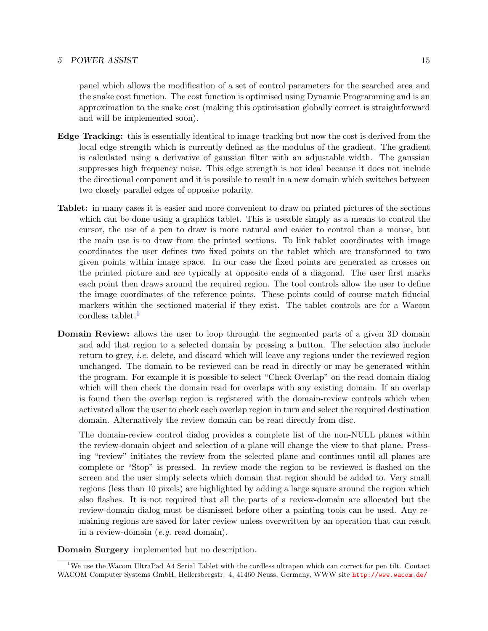#### 5 POWER ASSIST 15

panel which allows the modification of a set of control parameters for the searched area and the snake cost function. The cost function is optimised using Dynamic Programming and is an approximation to the snake cost (making this optimisation globally correct is straightforward and will be implemented soon).

- Edge Tracking: this is essentially identical to image-tracking but now the cost is derived from the local edge strength which is currently defined as the modulus of the gradient. The gradient is calculated using a derivative of gaussian filter with an adjustable width. The gaussian suppresses high frequency noise. This edge strength is not ideal because it does not include the directional component and it is possible to result in a new domain which switches between two closely parallel edges of opposite polarity.
- Tablet: in many cases it is easier and more convenient to draw on printed pictures of the sections which can be done using a graphics tablet. This is useable simply as a means to control the cursor, the use of a pen to draw is more natural and easier to control than a mouse, but the main use is to draw from the printed sections. To link tablet coordinates with image coordinates the user defines two fixed points on the tablet which are transformed to two given points within image space. In our case the fixed points are generated as crosses on the printed picture and are typically at opposite ends of a diagonal. The user first marks each point then draws around the required region. The tool controls allow the user to define the image coordinates of the reference points. These points could of course match fiducial markers within the sectioned material if they exist. The tablet controls are for a Wacom cordless tablet.<sup>[1](#page-17-0)</sup>
- Domain Review: allows the user to loop throught the segmented parts of a given 3D domain and add that region to a selected domain by pressing a button. The selection also include return to grey, i.e. delete, and discard which will leave any regions under the reviewed region unchanged. The domain to be reviewed can be read in directly or may be generated within the program. For example it is possible to select "Check Overlap" on the read domain dialog which will then check the domain read for overlaps with any existing domain. If an overlap is found then the overlap region is registered with the domain-review controls which when activated allow the user to check each overlap region in turn and select the required destination domain. Alternatively the review domain can be read directly from disc.

The domain-review control dialog provides a complete list of the non-NULL planes within the review-domain object and selection of a plane will change the view to that plane. Pressing "review" initiates the review from the selected plane and continues until all planes are complete or "Stop" is pressed. In review mode the region to be reviewed is flashed on the screen and the user simply selects which domain that region should be added to. Very small regions (less than 10 pixels) are highlighted by adding a large square around the region which also flashes. It is not required that all the parts of a review-domain are allocated but the review-domain dialog must be dismissed before other a painting tools can be used. Any remaining regions are saved for later review unless overwritten by an operation that can result in a review-domain (e.g. read domain).

Domain Surgery implemented but no description.

<span id="page-17-0"></span><sup>1</sup>We use the Wacom UltraPad A4 Serial Tablet with the cordless ultrapen which can correct for pen tilt. Contact WACOM Computer Systems GmbH, Hellersbergstr. 4, 41460 Neuss, Germany, WWW site <http://www.wacom.de/>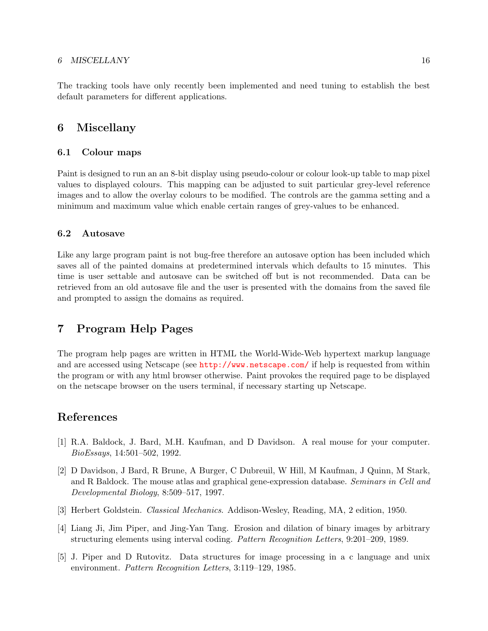#### 6 MISCELLANY 16

The tracking tools have only recently been implemented and need tuning to establish the best default parameters for different applications.

## <span id="page-18-0"></span>6 Miscellany

### <span id="page-18-1"></span>6.1 Colour maps

Paint is designed to run an an 8-bit display using pseudo-colour or colour look-up table to map pixel values to displayed colours. This mapping can be adjusted to suit particular grey-level reference images and to allow the overlay colours to be modified. The controls are the gamma setting and a minimum and maximum value which enable certain ranges of grey-values to be enhanced.

#### <span id="page-18-2"></span>6.2 Autosave

Like any large program paint is not bug-free therefore an autosave option has been included which saves all of the painted domains at predetermined intervals which defaults to 15 minutes. This time is user settable and autosave can be switched off but is not recommended. Data can be retrieved from an old autosave file and the user is presented with the domains from the saved file and prompted to assign the domains as required.

## <span id="page-18-3"></span>7 Program Help Pages

The program help pages are written in HTML the World-Wide-Web hypertext markup language and are accessed using Netscape (see <http://www.netscape.com/> if help is requested from within the program or with any html browser otherwise. Paint provokes the required page to be displayed on the netscape browser on the users terminal, if necessary starting up Netscape.

## References

- <span id="page-18-4"></span>[1] R.A. Baldock, J. Bard, M.H. Kaufman, and D Davidson. A real mouse for your computer. BioEssays, 14:501–502, 1992.
- <span id="page-18-5"></span>[2] D Davidson, J Bard, R Brune, A Burger, C Dubreuil, W Hill, M Kaufman, J Quinn, M Stark, and R Baldock. The mouse atlas and graphical gene-expression database. Seminars in Cell and Developmental Biology, 8:509–517, 1997.
- <span id="page-18-8"></span>[3] Herbert Goldstein. Classical Mechanics. Addison-Wesley, Reading, MA, 2 edition, 1950.
- <span id="page-18-7"></span>[4] Liang Ji, Jim Piper, and Jing-Yan Tang. Erosion and dilation of binary images by arbitrary structuring elements using interval coding. Pattern Recognition Letters, 9:201–209, 1989.
- <span id="page-18-6"></span>[5] J. Piper and D Rutovitz. Data structures for image processing in a c language and unix environment. Pattern Recognition Letters, 3:119–129, 1985.